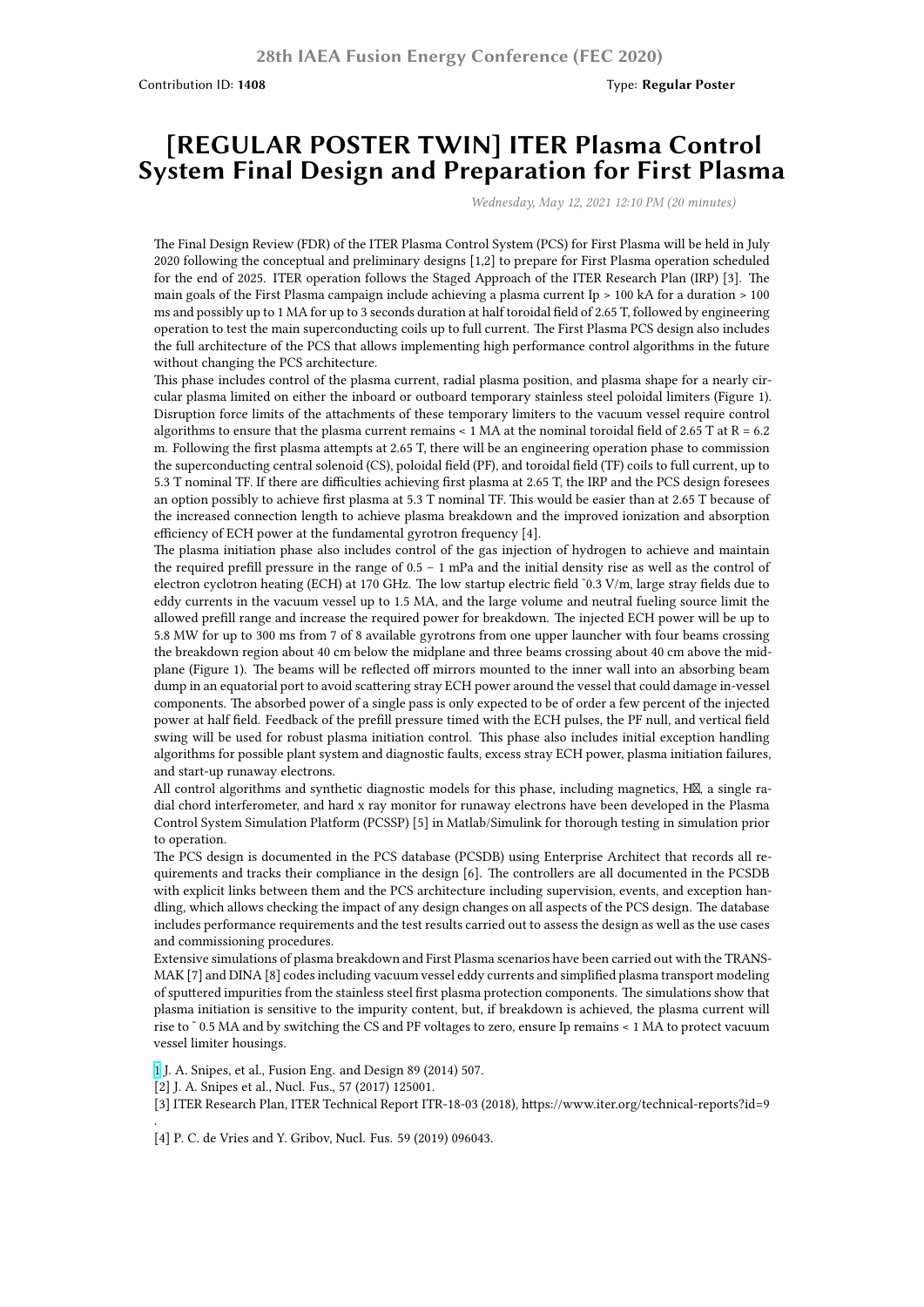## **[REGULAR POSTER TWIN] ITER Plasma Control System Final Design and Preparation for First Plasma**

*Wednesday, May 12, 2021 12:10 PM (20 minutes)*

The Final Design Review (FDR) of the ITER Plasma Control System (PCS) for First Plasma will be held in July 2020 following the conceptual and preliminary designs [1,2] to prepare for First Plasma operation scheduled for the end of 2025. ITER operation follows the Staged Approach of the ITER Research Plan (IRP) [3]. The main goals of the First Plasma campaign include achieving a plasma current Ip > 100 kA for a duration > 100 ms and possibly up to 1 MA for up to 3 seconds duration at half toroidal field of 2.65 T, followed by engineering operation to test the main superconducting coils up to full current. The First Plasma PCS design also includes the full architecture of the PCS that allows implementing high performance control algorithms in the future without changing the PCS architecture.

This phase includes control of the plasma current, radial plasma position, and plasma shape for a nearly circular plasma limited on either the inboard or outboard temporary stainless steel poloidal limiters (Figure 1). Disruption force limits of the attachments of these temporary limiters to the vacuum vessel require control algorithms to ensure that the plasma current remains < 1 MA at the nominal toroidal field of 2.65 T at R = 6.2 m. Following the first plasma attempts at 2.65 T, there will be an engineering operation phase to commission the superconducting central solenoid (CS), poloidal field (PF), and toroidal field (TF) coils to full current, up to 5.3 T nominal TF. If there are difficulties achieving first plasma at 2.65 T, the IRP and the PCS design foresees an option possibly to achieve first plasma at 5.3 T nominal TF. This would be easier than at 2.65 T because of the increased connection length to achieve plasma breakdown and the improved ionization and absorption efficiency of ECH power at the fundamental gyrotron frequency [4].

The plasma initiation phase also includes control of the gas injection of hydrogen to achieve and maintain the required prefill pressure in the range of 0.5 – 1 mPa and the initial density rise as well as the control of electron cyclotron heating (ECH) at 170 GHz. The low startup electric field ˜0.3 V/m, large stray fields due to eddy currents in the vacuum vessel up to 1.5 MA, and the large volume and neutral fueling source limit the allowed prefill range and increase the required power for breakdown. The injected ECH power will be up to 5.8 MW for up to 300 ms from 7 of 8 available gyrotrons from one upper launcher with four beams crossing the breakdown region about 40 cm below the midplane and three beams crossing about 40 cm above the midplane (Figure 1). The beams will be reflected off mirrors mounted to the inner wall into an absorbing beam dump in an equatorial port to avoid scattering stray ECH power around the vessel that could damage in-vessel components. The absorbed power of a single pass is only expected to be of order a few percent of the injected power at half field. Feedback of the prefill pressure timed with the ECH pulses, the PF null, and vertical field swing will be used for robust plasma initiation control. This phase also includes initial exception handling algorithms for possible plant system and diagnostic faults, excess stray ECH power, plasma initiation failures, and start-up runaway electrons.

All control algorithms and synthetic diagnostic models for this phase, including magnetics,  $H\mathbb{X}$ , a single radial chord interferometer, and hard x ray monitor for runaway electrons have been developed in the Plasma Control System Simulation Platform (PCSSP) [5] in Matlab/Simulink for thorough testing in simulation prior to operation.

The PCS design is documented in the PCS database (PCSDB) using Enterprise Architect that records all requirements and tracks their compliance in the design [6]. The controllers are all documented in the PCSDB with explicit links between them and the PCS architecture including supervision, events, and exception handling, which allows checking the impact of any design changes on all aspects of the PCS design. The database includes performance requirements and the test results carried out to assess the design as well as the use cases and commissioning procedures.

Extensive simulations of plasma breakdown and First Plasma scenarios have been carried out with the TRANS-MAK [7] and DINA [8] codes including vacuum vessel eddy currents and simplified plasma transport modeling of sputtered impurities from the stainless steel first plasma protection components. The simulations show that plasma initiation is sensitive to the impurity content, but, if breakdown is achieved, the plasma current will rise to ˜ 0.5 MA and by switching the CS and PF voltages to zero, ensure Ip remains < 1 MA to protect vacuum vessel limiter housings.

1 J. A. Snipes, et al., Fusion Eng. and Design 89 (2014) 507.

[2] J. A. Snipes et al., Nucl. Fus., 57 (2017) 125001.

.

[3] ITER Research Plan, ITER Technical Report ITR-18-03 (2018), https://www.iter.org/technical-reports?id=9

[\[4](https://nucleus.iaea.org/sites/fusionportal/Shared%20Documents/FEC%202020%20Images/1030/full_fppc_artificial_rotations_cropped.png)] P. C. de Vries and Y. Gribov, Nucl. Fus. 59 (2019) 096043.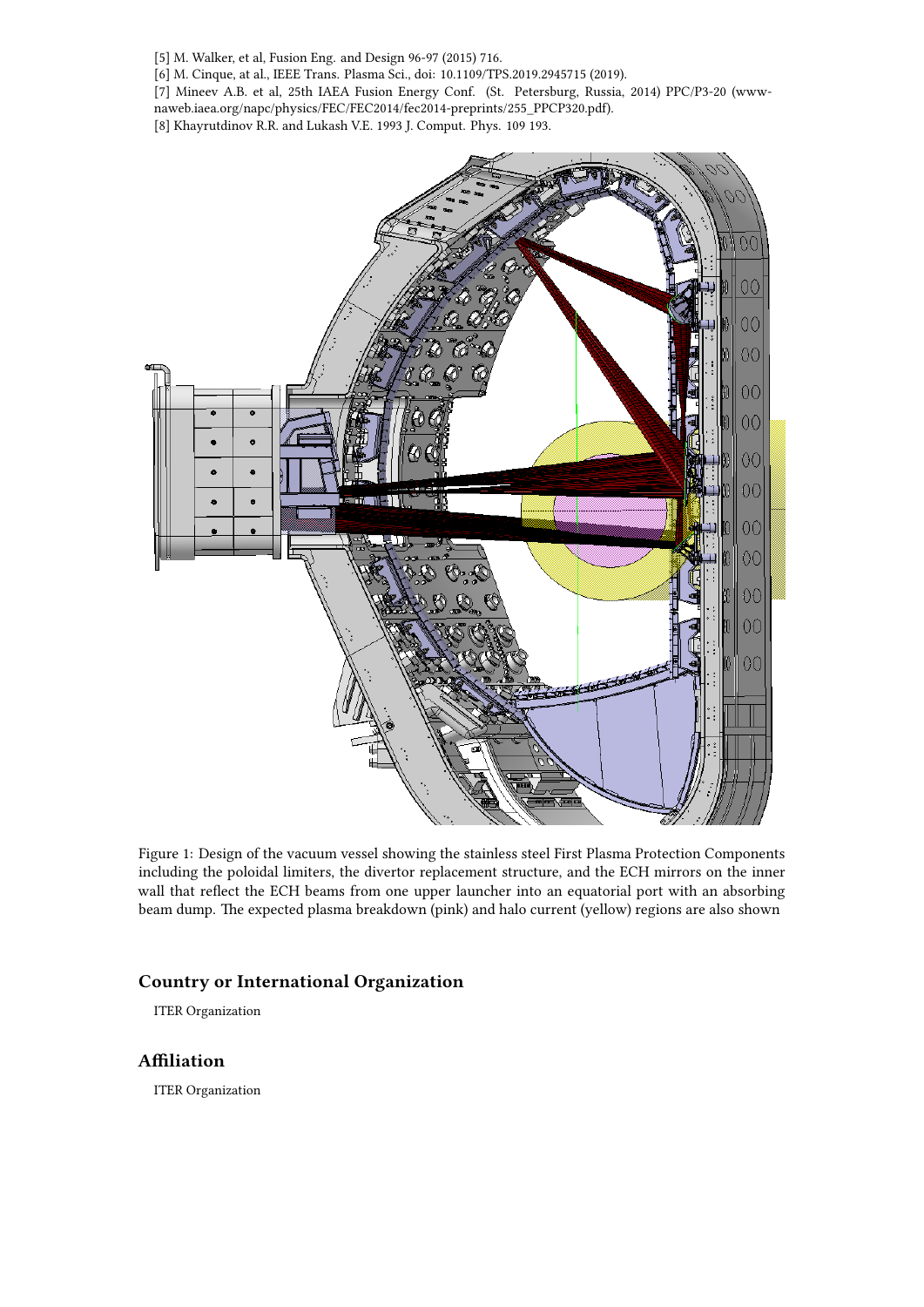[5] M. Walker, et al, Fusion Eng. and Design 96-97 (2015) 716.

[6] M. Cinque, at al., IEEE Trans. Plasma Sci., doi: 10.1109/TPS.2019.2945715 (2019).

[7] Mineev A.B. et al, 25th IAEA Fusion Energy Conf. (St. Petersburg, Russia, 2014) PPC/P3-20 (www-

naweb.iaea.org/napc/physics/FEC/FEC2014/fec2014-preprints/255\_PPCP320.pdf).

[8] Khayrutdinov R.R. and Lukash V.E. 1993 J. Comput. Phys. 109 193.



Figure 1: Design of the vacuum vessel showing the stainless steel First Plasma Protection Components including the poloidal limiters, the divertor replacement structure, and the ECH mirrors on the inner wall that reflect the ECH beams from one upper launcher into an equatorial port with an absorbing beam dump. The expected plasma breakdown (pink) and halo current (yellow) regions are also shown

## **Country or International Organization**

ITER Organization

## **Affiliation**

ITER Organization